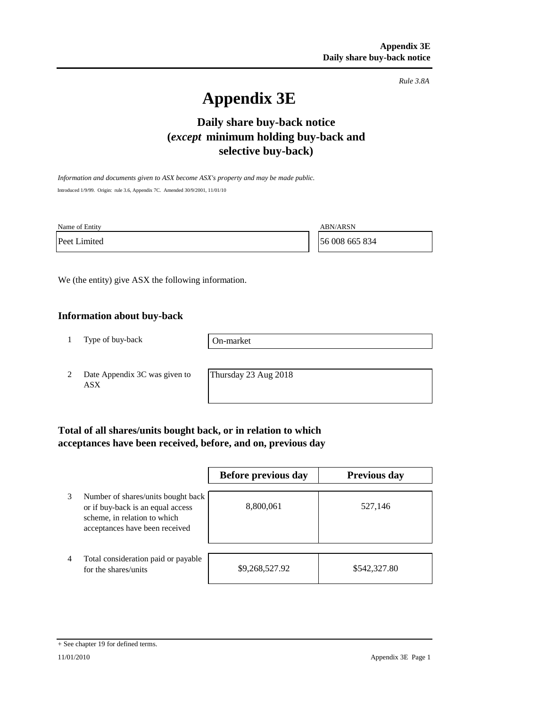*Rule 3.8A*

# **Appendix 3E**

## **Daily share buy-back notice (***except* **minimum holding buy-back and selective buy-back)**

*Information and documents given to ASX become ASX's property and may be made public.* Introduced 1/9/99. Origin: rule 3.6, Appendix 7C. Amended 30/9/2001, 11/01/10

Name of Entity ABN/ARSN

Peet Limited 56 008 665 834

We (the entity) give ASX the following information.

### **Information about buy-back**

1 Type of buy-back

On-market

2 Date Appendix 3C was given to ASX

Thursday 23 Aug 2018

## **Total of all shares/units bought back, or in relation to which acceptances have been received, before, and on, previous day**

|   |                                                                                                                                           | Before previous day | <b>Previous day</b> |
|---|-------------------------------------------------------------------------------------------------------------------------------------------|---------------------|---------------------|
| 3 | Number of shares/units bought back<br>or if buy-back is an equal access<br>scheme, in relation to which<br>acceptances have been received | 8,800,061           | 527,146             |
| 4 | Total consideration paid or payable<br>for the shares/units                                                                               | \$9,268,527.92      | \$542,327.80        |

<sup>+</sup> See chapter 19 for defined terms.